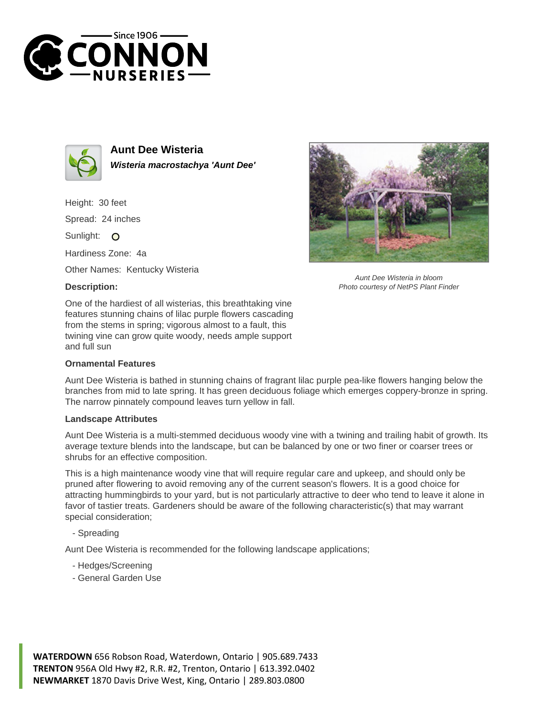



**Aunt Dee Wisteria Wisteria macrostachya 'Aunt Dee'**

Height: 30 feet Spread: 24 inches

Sunlight: O

Hardiness Zone: 4a

Other Names: Kentucky Wisteria

## **Description:**



## **Ornamental Features**



## **Landscape Attributes**

Aunt Dee Wisteria is a multi-stemmed deciduous woody vine with a twining and trailing habit of growth. Its average texture blends into the landscape, but can be balanced by one or two finer or coarser trees or shrubs for an effective composition.

This is a high maintenance woody vine that will require regular care and upkeep, and should only be pruned after flowering to avoid removing any of the current season's flowers. It is a good choice for attracting hummingbirds to your yard, but is not particularly attractive to deer who tend to leave it alone in favor of tastier treats. Gardeners should be aware of the following characteristic(s) that may warrant special consideration;

- Spreading

Aunt Dee Wisteria is recommended for the following landscape applications;

- Hedges/Screening
- General Garden Use





Aunt Dee Wisteria in bloom Photo courtesy of NetPS Plant Finder